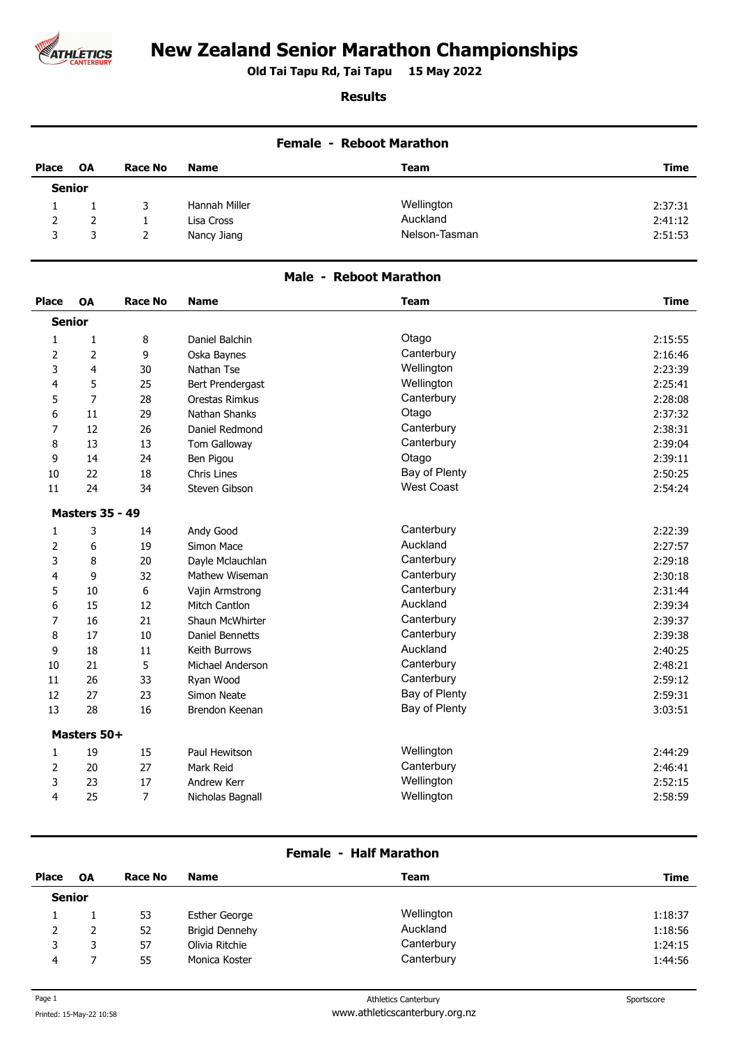

# **New Zealand Senior Marathon Championships**

**Old Tai Tapu Rd, Tai Tapu 15 May 2022 .** 

### **Results**

| <b>Female - Reboot Marathon</b> |           |                |               |               |         |
|---------------------------------|-----------|----------------|---------------|---------------|---------|
| Place                           | <b>OA</b> | <b>Race No</b> | <b>Name</b>   | <b>Team</b>   | Time    |
| <b>Senior</b>                   |           |                |               |               |         |
|                                 |           | 3.             | Hannah Miller | Wellington    | 2:37:31 |
| $\mathcal{P}$                   | 2         |                | Lisa Cross    | Auckland      | 2:41:12 |
| 3                               | 3         |                | Nancy Jiang   | Nelson-Tasman | 2:51:53 |

## **Male - Reboot Marathon**

| <b>Place</b>  | OA                     | <b>Race No</b> | <b>Name</b>          | <b>Team</b>       | <b>Time</b> |
|---------------|------------------------|----------------|----------------------|-------------------|-------------|
| <b>Senior</b> |                        |                |                      |                   |             |
| $\mathbf{1}$  | $\mathbf{1}$           | 8              | Daniel Balchin       | Otago             | 2:15:55     |
| 2             | $\overline{2}$         | 9              | Oska Baynes          | Canterbury        | 2:16:46     |
| 3             | 4                      | 30             | Nathan Tse           | Wellington        | 2:23:39     |
| 4             | 5                      | 25             | Bert Prendergast     | Wellington        | 2:25:41     |
| 5             | 7                      | 28             | Orestas Rimkus       | Canterbury        | 2:28:08     |
| 6             | 11                     | 29             | Nathan Shanks        | Otago             | 2:37:32     |
| 7             | 12                     | 26             | Daniel Redmond       | Canterbury        | 2:38:31     |
| 8             | 13                     | 13             | Tom Galloway         | Canterbury        | 2:39:04     |
| 9             | 14                     | 24             | Ben Pigou            | Otago             | 2:39:11     |
| 10            | 22                     | 18             | Chris Lines          | Bay of Plenty     | 2:50:25     |
| 11            | 24                     | 34             | Steven Gibson        | <b>West Coast</b> | 2:54:24     |
|               | <b>Masters 35 - 49</b> |                |                      |                   |             |
| $\mathbf{1}$  | 3                      | 14             | Andy Good            | Canterbury        | 2:22:39     |
| 2             | 6                      | 19             | Simon Mace           | Auckland          | 2:27:57     |
| 3             | 8                      | 20             | Dayle Mclauchlan     | Canterbury        | 2:29:18     |
| 4             | 9                      | 32             | Mathew Wiseman       | Canterbury        | 2:30:18     |
| 5             | 10                     | 6              | Vajin Armstrong      | Canterbury        | 2:31:44     |
| 6             | 15                     | 12             | <b>Mitch Cantlon</b> | Auckland          | 2:39:34     |
| 7             | 16                     | 21             | Shaun McWhirter      | Canterbury        | 2:39:37     |
| 8             | 17                     | 10             | Daniel Bennetts      | Canterbury        | 2:39:38     |
| 9             | 18                     | 11             | Keith Burrows        | Auckland          | 2:40:25     |
| 10            | 21                     | 5              | Michael Anderson     | Canterbury        | 2:48:21     |
| 11            | 26                     | 33             | Ryan Wood            | Canterbury        | 2:59:12     |
| 12            | 27                     | 23             | Simon Neate          | Bay of Plenty     | 2:59:31     |
| 13            | 28                     | 16             | Brendon Keenan       | Bay of Plenty     | 3:03:51     |
|               | Masters 50+            |                |                      |                   |             |
| $\mathbf{1}$  | 19                     | 15             | Paul Hewitson        | Wellington        | 2:44:29     |
| 2             | 20                     | 27             | Mark Reid            | Canterbury        | 2:46:41     |
| 3             | 23                     | 17             | Andrew Kerr          | Wellington        | 2:52:15     |
| 4             | 25                     | $\overline{7}$ | Nicholas Bagnall     | Wellington        | 2:58:59     |

#### **Female - Half Marathon**

| <b>Place</b>  | <b>OA</b> | <b>Race No</b> | <b>Name</b>           | Team       | Time    |  |  |
|---------------|-----------|----------------|-----------------------|------------|---------|--|--|
| <b>Senior</b> |           |                |                       |            |         |  |  |
|               |           | 53             | <b>Esther George</b>  | Wellington | 1:18:37 |  |  |
| 2             |           | 52             | <b>Brigid Dennehy</b> | Auckland   | 1:18:56 |  |  |
| 3             |           | 57             | Olivia Ritchie        | Canterbury | 1:24:15 |  |  |
| 4             |           | 55             | Monica Koster         | Canterbury | 1:44:56 |  |  |